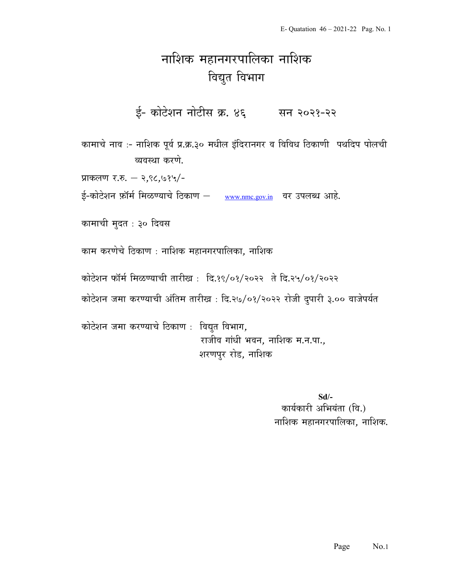## नाशिक महानगरपालिका नाशिक विद्युत विभाग

ई- कोटेशन नोटीस क्र. ४६ सन २०२१-२२

कामाचे नाव :- नाशिक पूर्व प्र.क्र.३० मधील इंदिरानगर व विविध ठिकाणी पथदिप पोलची त्यवस्था करणे.

प्राकलण र.रु. – २,९८,७१५/-

ई-कोटेशन फ़ॉर्म मिळण्याचे ठिकाण – www.nmc.gov.in वर उपलब्ध आहे.

कामाची मुदत : ३० दिवस

काम करणेचे ठिकाण : नाशिक महानगरपालिका, नाशिक

कोटेशन फॉर्म मिळण्याची तारीख: दि.१९/०१/२०२२ ते दि.२५/०१/२०२२

कोटेशन जमा करण्याची अंतिम तारीख : दि.२७/०१/२०२२ रोजी दुपारी ३.०० वाजेपर्यत

कोटेशन जमा करण्याचे ठिकाण : विद्युत विभाग, राजीव गांधी भवन, नाशिक म.न.पा., शरणपुर रोड, नाशिक

> Sd/- कार्यकारी अभियंता (वि.) नाशिक महानगरपालिका, नाशिक.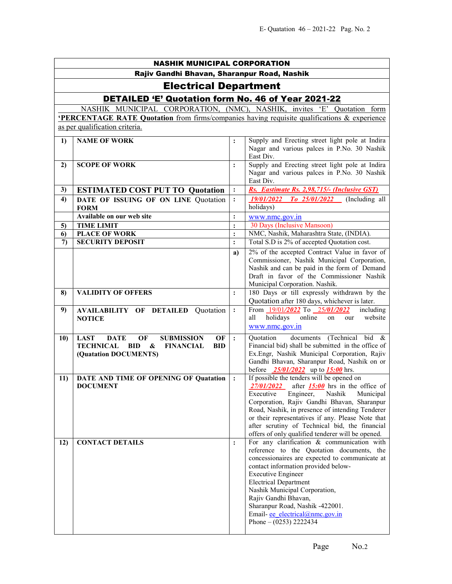| <b>NASHIK MUNICIPAL CORPORATION</b>         |                                                                                                                                                        |                                  |                                                                                                                                                                                                                                                                                                                                                                                                                           |  |
|---------------------------------------------|--------------------------------------------------------------------------------------------------------------------------------------------------------|----------------------------------|---------------------------------------------------------------------------------------------------------------------------------------------------------------------------------------------------------------------------------------------------------------------------------------------------------------------------------------------------------------------------------------------------------------------------|--|
| Rajiv Gandhi Bhavan, Sharanpur Road, Nashik |                                                                                                                                                        |                                  |                                                                                                                                                                                                                                                                                                                                                                                                                           |  |
| <b>Electrical Department</b>                |                                                                                                                                                        |                                  |                                                                                                                                                                                                                                                                                                                                                                                                                           |  |
|                                             | DETAILED 'E' Quotation form No. 46 of Year 2021-22                                                                                                     |                                  |                                                                                                                                                                                                                                                                                                                                                                                                                           |  |
|                                             | NASHIK MUNICIPAL CORPORATION, (NMC), NASHIK, invites 'E' Quotation form                                                                                |                                  |                                                                                                                                                                                                                                                                                                                                                                                                                           |  |
|                                             | <b>PERCENTAGE RATE Quotation</b> from firms/companies having requisite qualifications & experience                                                     |                                  |                                                                                                                                                                                                                                                                                                                                                                                                                           |  |
|                                             | as per qualification criteria.                                                                                                                         |                                  |                                                                                                                                                                                                                                                                                                                                                                                                                           |  |
| 1)<br>2)                                    | <b>NAME OF WORK</b><br><b>SCOPE OF WORK</b>                                                                                                            | $\ddot{\cdot}$<br>$\ddot{\cdot}$ | Supply and Erecting street light pole at Indira<br>Nagar and various palces in P.No. 30 Nashik<br>East Div.<br>Supply and Erecting street light pole at Indira<br>Nagar and various palces in P.No. 30 Nashik                                                                                                                                                                                                             |  |
|                                             |                                                                                                                                                        |                                  | East Div.                                                                                                                                                                                                                                                                                                                                                                                                                 |  |
| 3)                                          | <b>ESTIMATED COST PUT TO Quotation</b>                                                                                                                 | $\ddot{\cdot}$                   | Rs. Eastimate Rs. 2,98,715/- (Inclusive GST)                                                                                                                                                                                                                                                                                                                                                                              |  |
| 4)                                          | DATE OF ISSUING OF ON LINE Quotation<br><b>FORM</b>                                                                                                    | $\ddot{\cdot}$                   | $To$ 25/01/2022 (Including all<br><i>19/01/2022</i><br>holidays)                                                                                                                                                                                                                                                                                                                                                          |  |
|                                             | Available on our web site                                                                                                                              | $\ddot{\cdot}$                   | www.nmc.gov.in                                                                                                                                                                                                                                                                                                                                                                                                            |  |
| 5)                                          | <b>TIME LIMIT</b>                                                                                                                                      |                                  | 30 Days (Inclusive Mansoon)<br>NMC, Nashik, Maharashtra State, (INDIA).                                                                                                                                                                                                                                                                                                                                                   |  |
| 6)<br>7)                                    | <b>PLACE OF WORK</b><br><b>SECURITY DEPOSIT</b>                                                                                                        | $\ddot{\cdot}$<br>$\ddot{\cdot}$ | Total S.D is 2% of accepted Quotation cost.                                                                                                                                                                                                                                                                                                                                                                               |  |
|                                             |                                                                                                                                                        | a)                               | 2% of the accepted Contract Value in favor of<br>Commissioner, Nashik Municipal Corporation,<br>Nashik and can be paid in the form of Demand<br>Draft in favor of the Commissioner Nashik<br>Municipal Corporation. Nashik.                                                                                                                                                                                               |  |
| 8)                                          | <b>VALIDITY OF OFFERS</b>                                                                                                                              | $\ddot{\cdot}$                   | 180 Days or till expressly withdrawn by the<br>Quotation after 180 days, whichever is later.                                                                                                                                                                                                                                                                                                                              |  |
| 9)                                          | <b>AVAILABILITY OF DETAILED Quotation</b><br><b>NOTICE</b>                                                                                             | $\ddot{\cdot}$                   | From 19/01/2022 To 25/01/2022<br>including<br>online<br>holidays<br>website<br>all<br>on<br>our<br>www.nmc.gov.in                                                                                                                                                                                                                                                                                                         |  |
| 10)                                         | <b>LAST</b><br><b>DATE</b><br>OF<br><b>SUBMISSION</b><br>OF<br><b>TECHNICAL</b><br>BID<br>&<br><b>FINANCIAL</b><br><b>BID</b><br>(Quatation DOCUMENTS) | $\cdot$                          | documents (Technical bid &<br>Quotation<br>Financial bid) shall be submitted in the office of<br>Ex.Engr, Nashik Municipal Corporation, Rajiv<br>Gandhi Bhavan, Sharanpur Road, Nashik on or<br>before $\frac{25/01}{2022}$ up to $\frac{15:00}{2}$ hrs.                                                                                                                                                                  |  |
| 11)                                         | DATE AND TIME OF OPENING OF Quatation<br><b>DOCUMENT</b>                                                                                               | $\ddot{\cdot}$                   | If possible the tenders will be opened on<br>$\frac{27}{01}{2022}$ after <b>15:00</b> hrs in the office of<br>Executive<br>Engineer,<br>Nashik<br>Municipal<br>Corporation, Rajiv Gandhi Bhavan, Sharanpur<br>Road, Nashik, in presence of intending Tenderer<br>or their representatives if any. Please Note that<br>after scrutiny of Technical bid, the financial<br>offers of only qualified tenderer will be opened. |  |
| 12)                                         | <b>CONTACT DETAILS</b>                                                                                                                                 | $\ddot{\cdot}$                   | For any clarification & communication with<br>reference to the Quotation documents, the<br>concessionaires are expected to communicate at<br>contact information provided below-<br><b>Executive Engineer</b><br><b>Electrical Department</b><br>Nashik Municipal Corporation,<br>Rajiv Gandhi Bhavan,<br>Sharanpur Road, Nashik -422001.<br>Email- ee electrical@nmc.gov.in<br>Phone $- (0253)$ 2222434                  |  |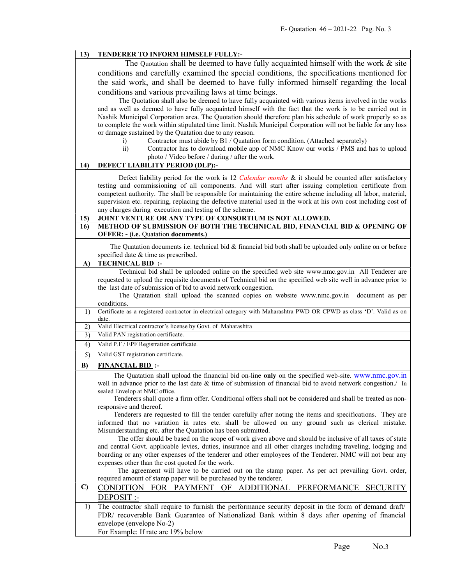| 13)          | TENDERER TO INFORM HIMSELF FULLY:-                                                                                                                                                                     |  |  |
|--------------|--------------------------------------------------------------------------------------------------------------------------------------------------------------------------------------------------------|--|--|
|              | The Quotation shall be deemed to have fully acquainted himself with the work $\&$ site                                                                                                                 |  |  |
|              | conditions and carefully examined the special conditions, the specifications mentioned for                                                                                                             |  |  |
|              | the said work, and shall be deemed to have fully informed himself regarding the local                                                                                                                  |  |  |
|              | conditions and various prevailing laws at time beings.                                                                                                                                                 |  |  |
|              | The Quotation shall also be deemed to have fully acquainted with various items involved in the works                                                                                                   |  |  |
|              | and as well as deemed to have fully acquainted himself with the fact that the work is to be carried out in                                                                                             |  |  |
|              | Nashik Municipal Corporation area. The Quotation should therefore plan his schedule of work properly so as                                                                                             |  |  |
|              | to complete the work within stipulated time limit. Nashik Municipal Corporation will not be liable for any loss                                                                                        |  |  |
|              | or damage sustained by the Quatation due to any reason.                                                                                                                                                |  |  |
|              | Contractor must abide by B1 / Quatation form condition. (Attached separately)<br>i)                                                                                                                    |  |  |
|              | $\overline{ii}$ )<br>Contractor has to download mobile app of NMC Know our works / PMS and has to upload                                                                                               |  |  |
|              | photo / Video before / during / after the work.                                                                                                                                                        |  |  |
| 14)          | DEFECT LIABILITY PERIOD (DLP):-                                                                                                                                                                        |  |  |
|              | Defect liability period for the work is 12 Calendar months & it should be counted after satisfactory                                                                                                   |  |  |
|              | testing and commissioning of all components. And will start after issuing completion certificate from                                                                                                  |  |  |
|              | competent authority. The shall be responsible for maintaining the entire scheme including all labor, material,                                                                                         |  |  |
|              | supervision etc. repairing, replacing the defective material used in the work at his own cost including cost of                                                                                        |  |  |
|              | any charges during execution and testing of the scheme.                                                                                                                                                |  |  |
| 15)<br>16)   | JOINT VENTURE OR ANY TYPE OF CONSORTIUM IS NOT ALLOWED.<br>METHOD OF SUBMISSION OF BOTH THE TECHNICAL BID, FINANCIAL BID & OPENING OF                                                                  |  |  |
|              | <b>OFFER: - (i.e. Quatation documents.)</b>                                                                                                                                                            |  |  |
|              |                                                                                                                                                                                                        |  |  |
|              | The Quatation documents i.e. technical bid $\&$ financial bid both shall be uploaded only online on or before                                                                                          |  |  |
| A)           | specified date & time as prescribed.<br><b>TECHNICAL BID:</b>                                                                                                                                          |  |  |
|              | Technical bid shall be uploaded online on the specified web site www.nmc.gov.in All Tenderer are                                                                                                       |  |  |
|              | requested to upload the requisite documents of Technical bid on the specified web site well in advance prior to                                                                                        |  |  |
|              | the last date of submission of bid to avoid network congestion.                                                                                                                                        |  |  |
|              | The Quatation shall upload the scanned copies on website www.nmc.gov.in document as per                                                                                                                |  |  |
|              | conditions.                                                                                                                                                                                            |  |  |
| 1)           | Certificate as a registered contractor in electrical category with Maharashtra PWD OR CPWD as class 'D'. Valid as on<br>date.                                                                          |  |  |
| 2)           | Valid Electrical contractor's license by Govt. of Maharashtra                                                                                                                                          |  |  |
| 3)           | Valid PAN registration certificate.                                                                                                                                                                    |  |  |
| 4)           | Valid P.F / EPF Registration certificate.                                                                                                                                                              |  |  |
| 5)           | Valid GST registration certificate.                                                                                                                                                                    |  |  |
| B)           | <b>FINANCIAL BID:</b>                                                                                                                                                                                  |  |  |
|              | The Quatation shall upload the financial bid on-line only on the specified web-site. www.nmc.gov.in                                                                                                    |  |  |
|              | well in advance prior to the last date & time of submission of financial bid to avoid network congestion./ In                                                                                          |  |  |
|              | sealed Envelop at NMC office.                                                                                                                                                                          |  |  |
|              | Tenderers shall quote a firm offer. Conditional offers shall not be considered and shall be treated as non-<br>responsive and thereof.                                                                 |  |  |
|              | Tenderers are requested to fill the tender carefully after noting the items and specifications. They are                                                                                               |  |  |
|              | informed that no variation in rates etc. shall be allowed on any ground such as clerical mistake.                                                                                                      |  |  |
|              | Misunderstanding etc. after the Quatation has been submitted.                                                                                                                                          |  |  |
|              | The offer should be based on the scope of work given above and should be inclusive of all taxes of state                                                                                               |  |  |
|              | and central Govt. applicable levies, duties, insurance and all other charges including traveling, lodging and                                                                                          |  |  |
|              | boarding or any other expenses of the tenderer and other employees of the Tenderer. NMC will not bear any                                                                                              |  |  |
|              | expenses other than the cost quoted for the work.<br>The agreement will have to be carried out on the stamp paper. As per act prevailing Govt. order,                                                  |  |  |
|              |                                                                                                                                                                                                        |  |  |
|              |                                                                                                                                                                                                        |  |  |
|              | required amount of stamp paper will be purchased by the tenderer.                                                                                                                                      |  |  |
| $\mathbf{C}$ | CONDITION FOR PAYMENT<br>PERFORMANCE<br>OF<br>ADDITIONAL<br><b>SECURITY</b>                                                                                                                            |  |  |
|              | DEPOSIT :-                                                                                                                                                                                             |  |  |
| 1)           | The contractor shall require to furnish the performance security deposit in the form of demand draft/<br>FDR/ recoverable Bank Guarantee of Nationalized Bank within 8 days after opening of financial |  |  |
|              | envelope (envelope No-2)                                                                                                                                                                               |  |  |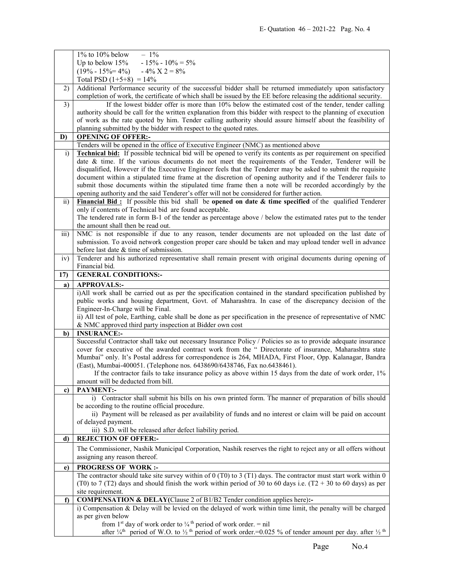|                 | $1\%$ to $10\%$ below<br>$-1\%$                                                                                                                                                                                                                                                  |  |  |
|-----------------|----------------------------------------------------------------------------------------------------------------------------------------------------------------------------------------------------------------------------------------------------------------------------------|--|--|
|                 | $-15\% - 10\% = 5\%$<br>Up to below $15%$                                                                                                                                                                                                                                        |  |  |
|                 | $(19\% - 15\% = 4\%)$ $-4\%$ $X$ 2 = 8%                                                                                                                                                                                                                                          |  |  |
|                 | Total PSD $(1+5+8) = 14\%$                                                                                                                                                                                                                                                       |  |  |
| 2)              | Additional Performance security of the successful bidder shall be returned immediately upon satisfactory                                                                                                                                                                         |  |  |
|                 | completion of work, the certificate of which shall be issued by the EE before releasing the additional security.                                                                                                                                                                 |  |  |
| 3)              | If the lowest bidder offer is more than 10% below the estimated cost of the tender, tender calling                                                                                                                                                                               |  |  |
|                 | authority should be call for the written explanation from this bidder with respect to the planning of execution                                                                                                                                                                  |  |  |
|                 | of work as the rate quoted by him. Tender calling authority should assure himself about the feasibility of                                                                                                                                                                       |  |  |
|                 | planning submitted by the bidder with respect to the quoted rates.                                                                                                                                                                                                               |  |  |
| D)              | <b>OPENING OF OFFER:-</b>                                                                                                                                                                                                                                                        |  |  |
|                 | Tenders will be opened in the office of Executive Engineer (NMC) as mentioned above                                                                                                                                                                                              |  |  |
| i)              | <b>Technical bid:</b> If possible technical bid will be opened to verify its contents as per requirement on specified                                                                                                                                                            |  |  |
|                 | date & time. If the various documents do not meet the requirements of the Tender, Tenderer will be                                                                                                                                                                               |  |  |
|                 | disqualified, However if the Executive Engineer feels that the Tenderer may be asked to submit the requisite                                                                                                                                                                     |  |  |
|                 | document within a stipulated time frame at the discretion of opening authority and if the Tenderer fails to                                                                                                                                                                      |  |  |
|                 | submit those documents within the stipulated time frame then a note will be recorded accordingly by the                                                                                                                                                                          |  |  |
|                 | opening authority and the said Tenderer's offer will not be considered for further action.                                                                                                                                                                                       |  |  |
| $\overline{11}$ | Financial Bid: If possible this bid shall be opened on date $\&$ time specified of the qualified Tenderer                                                                                                                                                                        |  |  |
|                 | only if contents of Technical bid are found acceptable.                                                                                                                                                                                                                          |  |  |
|                 | The tendered rate in form B-1 of the tender as percentage above / below the estimated rates put to the tender                                                                                                                                                                    |  |  |
|                 | the amount shall then be read out.                                                                                                                                                                                                                                               |  |  |
| iii)            | NMC is not responsible if due to any reason, tender documents are not uploaded on the last date of                                                                                                                                                                               |  |  |
|                 | submission. To avoid network congestion proper care should be taken and may upload tender well in advance                                                                                                                                                                        |  |  |
|                 | before last date & time of submission.                                                                                                                                                                                                                                           |  |  |
| iv)             | Tenderer and his authorized representative shall remain present with original documents during opening of                                                                                                                                                                        |  |  |
|                 | Financial bid.                                                                                                                                                                                                                                                                   |  |  |
| 17)             | <b>GENERAL CONDITIONS:-</b>                                                                                                                                                                                                                                                      |  |  |
| a)              | <b>APPROVALS:-</b>                                                                                                                                                                                                                                                               |  |  |
|                 | i)All work shall be carried out as per the specification contained in the standard specification published by                                                                                                                                                                    |  |  |
|                 |                                                                                                                                                                                                                                                                                  |  |  |
|                 |                                                                                                                                                                                                                                                                                  |  |  |
|                 | public works and housing department, Govt. of Maharashtra. In case of the discrepancy decision of the                                                                                                                                                                            |  |  |
|                 | Engineer-In-Charge will be Final.                                                                                                                                                                                                                                                |  |  |
|                 | ii) All test of pole, Earthing, cable shall be done as per specification in the presence of representative of NMC<br>& NMC approved third party inspection at Bidder own cost                                                                                                    |  |  |
| b)              | <b>INSURANCE:-</b>                                                                                                                                                                                                                                                               |  |  |
|                 | Successful Contractor shall take out necessary Insurance Policy / Policies so as to provide adequate insurance                                                                                                                                                                   |  |  |
|                 | cover for executive of the awarded contract work from the " Directorate of insurance, Maharashtra state                                                                                                                                                                          |  |  |
|                 | Mumbai" only. It's Postal address for correspondence is 264, MHADA, First Floor, Opp. Kalanagar, Bandra                                                                                                                                                                          |  |  |
|                 | (East), Mumbai-400051. (Telephone nos. 6438690/6438746, Fax no.6438461).                                                                                                                                                                                                         |  |  |
|                 | If the contractor fails to take insurance policy as above within 15 days from the date of work order, 1%                                                                                                                                                                         |  |  |
|                 | amount will be deducted from bill.                                                                                                                                                                                                                                               |  |  |
| c)              | <b>PAYMENT:-</b>                                                                                                                                                                                                                                                                 |  |  |
|                 | i) Contractor shall submit his bills on his own printed form. The manner of preparation of bills should                                                                                                                                                                          |  |  |
|                 | be according to the routine official procedure.                                                                                                                                                                                                                                  |  |  |
|                 | ii) Payment will be released as per availability of funds and no interest or claim will be paid on account                                                                                                                                                                       |  |  |
|                 | of delayed payment.                                                                                                                                                                                                                                                              |  |  |
|                 | iii) S.D. will be released after defect liability period.                                                                                                                                                                                                                        |  |  |
| d)              | <b>REJECTION OF OFFER:-</b>                                                                                                                                                                                                                                                      |  |  |
|                 | The Commissioner, Nashik Municipal Corporation, Nashik reserves the right to reject any or all offers without                                                                                                                                                                    |  |  |
|                 | assigning any reason thereof.                                                                                                                                                                                                                                                    |  |  |
| e)              | <b>PROGRESS OF WORK:-</b>                                                                                                                                                                                                                                                        |  |  |
|                 | The contractor should take site survey within of $0$ (T0) to $3$ (T1) days. The contractor must start work within $0$                                                                                                                                                            |  |  |
|                 | (T0) to 7 (T2) days and should finish the work within period of 30 to 60 days i.e. (T2 + 30 to 60 days) as per                                                                                                                                                                   |  |  |
|                 | site requirement.                                                                                                                                                                                                                                                                |  |  |
| $\mathbf{f}$    | COMPENSATION & DELAY(Clause 2 of B1/B2 Tender condition applies here):-                                                                                                                                                                                                          |  |  |
|                 | i) Compensation & Delay will be levied on the delayed of work within time limit, the penalty will be charged                                                                                                                                                                     |  |  |
|                 | as per given below                                                                                                                                                                                                                                                               |  |  |
|                 | from 1 <sup>st</sup> day of work order to $\frac{1}{4}$ <sup>th</sup> period of work order. = nil<br>after $\frac{1}{4}$ <sup>th</sup> period of W.O. to $\frac{1}{2}$ <sup>th</sup> period of work order. = 0.025 % of tender amount per day. after $\frac{1}{2}$ <sup>th</sup> |  |  |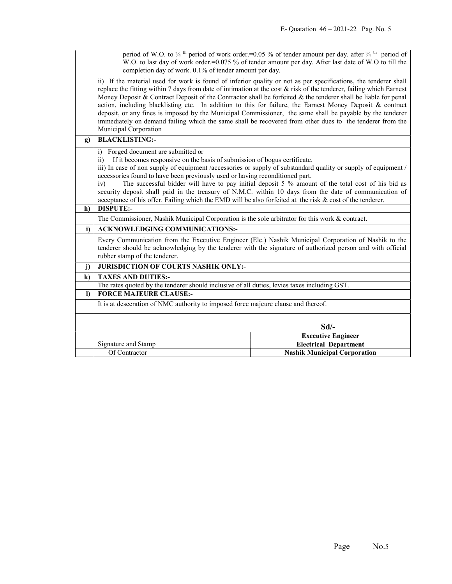|              | period of W.O. to $\frac{3}{4}$ <sup>th</sup> period of work order.=0.05 % of tender amount per day. after $\frac{3}{4}$ <sup>th</sup> period of<br>W.O. to last day of work order.=0.075 % of tender amount per day. After last date of W.O to till the                                                                                                                                                                                                                                                                                                                                                                                                                                                                   |                                                                                                                |  |
|--------------|----------------------------------------------------------------------------------------------------------------------------------------------------------------------------------------------------------------------------------------------------------------------------------------------------------------------------------------------------------------------------------------------------------------------------------------------------------------------------------------------------------------------------------------------------------------------------------------------------------------------------------------------------------------------------------------------------------------------------|----------------------------------------------------------------------------------------------------------------|--|
|              | completion day of work. 0.1% of tender amount per day.                                                                                                                                                                                                                                                                                                                                                                                                                                                                                                                                                                                                                                                                     |                                                                                                                |  |
|              | ii) If the material used for work is found of inferior quality or not as per specifications, the tenderer shall<br>replace the fitting within 7 days from date of intimation at the cost $\&$ risk of the tenderer, failing which Earnest<br>Money Deposit & Contract Deposit of the Contractor shall be forfeited & the tenderer shall be liable for penal<br>action, including blacklisting etc. In addition to this for failure, the Earnest Money Deposit & contract<br>deposit, or any fines is imposed by the Municipal Commissioner, the same shall be payable by the tenderer<br>immediately on demand failing which the same shall be recovered from other dues to the tenderer from the<br>Municipal Corporation |                                                                                                                |  |
| $\mathbf{g}$ | <b>BLACKLISTING:-</b>                                                                                                                                                                                                                                                                                                                                                                                                                                                                                                                                                                                                                                                                                                      |                                                                                                                |  |
|              | Forged document are submitted or<br>i)                                                                                                                                                                                                                                                                                                                                                                                                                                                                                                                                                                                                                                                                                     |                                                                                                                |  |
|              | If it becomes responsive on the basis of submission of bogus certificate.<br>$\overline{11}$                                                                                                                                                                                                                                                                                                                                                                                                                                                                                                                                                                                                                               |                                                                                                                |  |
|              | accessories found to have been previously used or having reconditioned part.                                                                                                                                                                                                                                                                                                                                                                                                                                                                                                                                                                                                                                               | iii) In case of non supply of equipment /accessories or supply of substandard quality or supply of equipment / |  |
|              | iv)                                                                                                                                                                                                                                                                                                                                                                                                                                                                                                                                                                                                                                                                                                                        |                                                                                                                |  |
|              | The successful bidder will have to pay initial deposit 5 % amount of the total cost of his bid as<br>security deposit shall paid in the treasury of N.M.C. within 10 days from the date of communication of                                                                                                                                                                                                                                                                                                                                                                                                                                                                                                                |                                                                                                                |  |
|              | acceptance of his offer. Failing which the EMD will be also forfeited at the risk $\&$ cost of the tenderer.                                                                                                                                                                                                                                                                                                                                                                                                                                                                                                                                                                                                               |                                                                                                                |  |
| h)           | <b>DISPUTE:-</b>                                                                                                                                                                                                                                                                                                                                                                                                                                                                                                                                                                                                                                                                                                           |                                                                                                                |  |
|              | The Commissioner, Nashik Municipal Corporation is the sole arbitrator for this work $\&$ contract.                                                                                                                                                                                                                                                                                                                                                                                                                                                                                                                                                                                                                         |                                                                                                                |  |
| i)           | <b>ACKNOWLEDGING COMMUNICATIONS:-</b>                                                                                                                                                                                                                                                                                                                                                                                                                                                                                                                                                                                                                                                                                      |                                                                                                                |  |
|              | Every Communication from the Executive Engineer (Ele.) Nashik Municipal Corporation of Nashik to the<br>tenderer should be acknowledging by the tenderer with the signature of authorized person and with official<br>rubber stamp of the tenderer.                                                                                                                                                                                                                                                                                                                                                                                                                                                                        |                                                                                                                |  |
| $\mathbf{j}$ | <b>JURISDICTION OF COURTS NASHIK ONLY:-</b>                                                                                                                                                                                                                                                                                                                                                                                                                                                                                                                                                                                                                                                                                |                                                                                                                |  |
| $\bf k)$     | <b>TAXES AND DUTIES:-</b>                                                                                                                                                                                                                                                                                                                                                                                                                                                                                                                                                                                                                                                                                                  |                                                                                                                |  |
|              | The rates quoted by the tenderer should inclusive of all duties, levies taxes including GST.                                                                                                                                                                                                                                                                                                                                                                                                                                                                                                                                                                                                                               |                                                                                                                |  |
| $\mathbf{D}$ | <b>FORCE MAJEURE CLAUSE:-</b>                                                                                                                                                                                                                                                                                                                                                                                                                                                                                                                                                                                                                                                                                              |                                                                                                                |  |
|              | It is at desecration of NMC authority to imposed force majeure clause and thereof.                                                                                                                                                                                                                                                                                                                                                                                                                                                                                                                                                                                                                                         |                                                                                                                |  |
|              | $Sd$ /-                                                                                                                                                                                                                                                                                                                                                                                                                                                                                                                                                                                                                                                                                                                    |                                                                                                                |  |
|              |                                                                                                                                                                                                                                                                                                                                                                                                                                                                                                                                                                                                                                                                                                                            | <b>Executive Engineer</b>                                                                                      |  |
|              | Signature and Stamp                                                                                                                                                                                                                                                                                                                                                                                                                                                                                                                                                                                                                                                                                                        | <b>Electrical Department</b>                                                                                   |  |
|              | Of Contractor                                                                                                                                                                                                                                                                                                                                                                                                                                                                                                                                                                                                                                                                                                              | <b>Nashik Municipal Corporation</b>                                                                            |  |
|              |                                                                                                                                                                                                                                                                                                                                                                                                                                                                                                                                                                                                                                                                                                                            |                                                                                                                |  |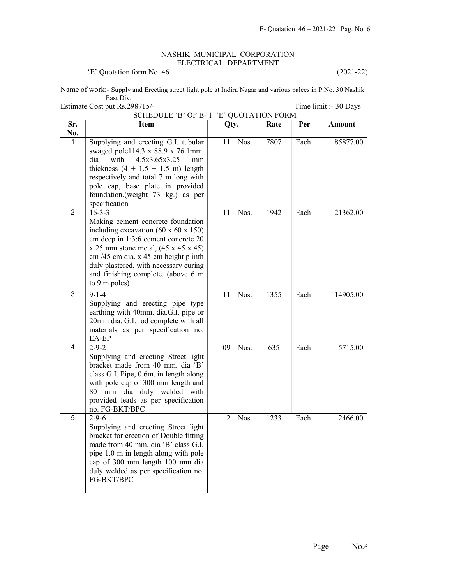## NASHIK MUNICIPAL CORPORATION ELECTRICAL DEPARTMENT

'E' Quotation form No. 46 (2021-22)

Name of work:- Supply and Erecting street light pole at Indira Nagar and various palces in P.No. 30 Nashik East Div. Estimate Cost put Rs.298715/-<br>
Time limit :- 30 Days

|                |                                                                                                                                                                                                                                                                                                                                 | SCHEDULE 'B' OF B-1 'E' QUOTATION FORM |      |      |               |  |
|----------------|---------------------------------------------------------------------------------------------------------------------------------------------------------------------------------------------------------------------------------------------------------------------------------------------------------------------------------|----------------------------------------|------|------|---------------|--|
| Sr.<br>No.     | <b>Item</b>                                                                                                                                                                                                                                                                                                                     | Qty.                                   | Rate | Per  | <b>Amount</b> |  |
| $\mathbf{1}$   | Supplying and erecting G.I. tubular<br>swaged pole114.3 x 88.9 x 76.1mm.<br>dia<br>4.5x3.65x3.25<br>with<br>mm<br>thickness $(4 + 1.5 + 1.5 \text{ m})$ length<br>respectively and total 7 m long with<br>pole cap, base plate in provided<br>foundation.(weight 73 kg.) as per<br>specification                                | Nos.<br>11                             | 7807 | Each | 85877.00      |  |
| $\overline{2}$ | $16 - 3 - 3$<br>Making cement concrete foundation<br>including excavation $(60 \times 60 \times 150)$<br>cm deep in 1:3:6 cement concrete 20<br>$x 25$ mm stone metal, $(45 x 45 x 45)$<br>cm /45 cm dia. x 45 cm height plinth<br>duly plastered, with necessary curing<br>and finishing complete. (above 6 m<br>to 9 m poles) | Nos.<br>11                             | 1942 | Each | 21362.00      |  |
| 3              | $9 - 1 - 4$<br>Supplying and erecting pipe type<br>earthing with 40mm. dia.G.I. pipe or<br>20mm dia. G.I. rod complete with all<br>materials as per specification no.<br>EA-EP                                                                                                                                                  | 11<br>Nos.                             | 1355 | Each | 14905.00      |  |
| 4              | $2 - 9 - 2$<br>Supplying and erecting Street light<br>bracket made from 40 mm. dia 'B'<br>class G.I. Pipe, 0.6m. in length along<br>with pole cap of 300 mm length and<br>80 mm dia duly welded with<br>provided leads as per specification<br>no. FG-BKT/BPC                                                                   | 09<br>Nos.                             | 635  | Each | 5715.00       |  |
| 5              | $2 - 9 - 6$<br>Supplying and erecting Street light<br>bracket for erection of Double fitting<br>made from 40 mm. dia 'B' class G.I.<br>pipe 1.0 m in length along with pole<br>cap of 300 mm length 100 mm dia<br>duly welded as per specification no.<br>FG-BKT/BPC                                                            | Nos.<br>2                              | 1233 | Each | 2466.00       |  |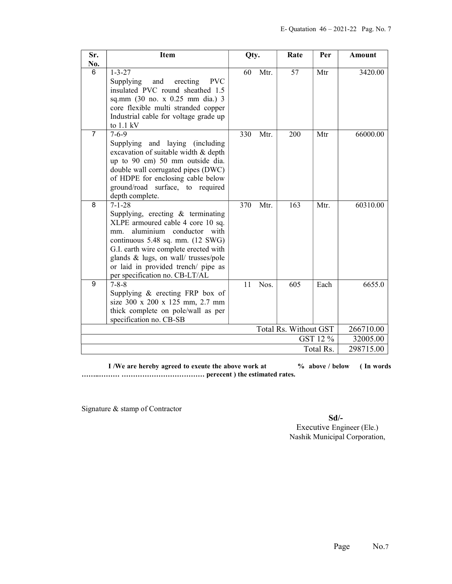| Sr.       | <b>Item</b>                                                                                                                                                                                                                                                                                                                | Qty. |      | Rate                  | Per  | Amount    |
|-----------|----------------------------------------------------------------------------------------------------------------------------------------------------------------------------------------------------------------------------------------------------------------------------------------------------------------------------|------|------|-----------------------|------|-----------|
| No.       |                                                                                                                                                                                                                                                                                                                            |      |      |                       |      |           |
| 6         | $1 - 3 - 27$<br><b>PVC</b><br>Supplying<br>and<br>erecting<br>insulated PVC round sheathed 1.5<br>sq.mm (30 no. x 0.25 mm dia.) 3<br>core flexible multi stranded copper<br>Industrial cable for voltage grade up<br>to 1.1 kV                                                                                             | 60   | Mtr. | 57                    | Mtr  | 3420.00   |
| 7         | $7 - 6 - 9$<br>Supplying and laying (including<br>excavation of suitable width & depth<br>up to 90 cm) 50 mm outside dia.<br>double wall corrugated pipes (DWC)<br>of HDPE for enclosing cable below<br>ground/road surface, to required<br>depth complete.                                                                | 330  | Mtr. | 200                   | Mtr  | 66000.00  |
| 8         | $7 - 1 - 28$<br>Supplying, erecting $\&$ terminating<br>XLPE armoured cable 4 core 10 sq.<br>aluminium conductor with<br>mm.<br>continuous 5.48 sq. mm. (12 SWG)<br>G.I. earth wire complete erected with<br>glands & lugs, on wall/ trusses/pole<br>or laid in provided trench/ pipe as<br>per specification no. CB-LT/AL | 370  | Mtr. | 163                   | Mtr. | 60310.00  |
| 9         | $7 - 8 - 8$<br>Supplying & erecting FRP box of<br>size 300 x 200 x 125 mm, 2.7 mm<br>thick complete on pole/wall as per<br>specification no. CB-SB                                                                                                                                                                         | 11   | Nos. | 605                   | Each | 6655.0    |
|           |                                                                                                                                                                                                                                                                                                                            |      |      | Total Rs. Without GST |      | 266710.00 |
| GST 12 %  |                                                                                                                                                                                                                                                                                                                            |      |      | 32005.00              |      |           |
| Total Rs. |                                                                                                                                                                                                                                                                                                                            |      |      | 298715.00             |      |           |

I /We are hereby agreed to exeute the above work at  $\%$  above / below (In words) ……..……… ……………………………… perecent ) the estimated rates.

Signature & stamp of Contractor

Sd/-

 Executive Engineer (Ele.) Nashik Municipal Corporation,